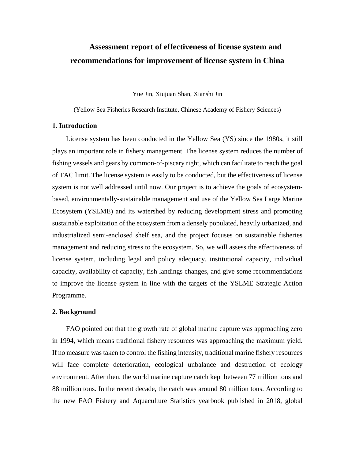# **Assessment report of effectiveness of license system and recommendations for improvement of license system in China**

Yue Jin, Xiujuan Shan, Xianshi Jin

(Yellow Sea Fisheries Research Institute, Chinese Academy of Fishery Sciences)

## **1. Introduction**

License system has been conducted in the Yellow Sea (YS) since the 1980s, it still plays an important role in fishery management. The license system reduces the number of fishing vessels and gears by common-of-piscary right, which can facilitate to reach the goal of TAC limit. The license system is easily to be conducted, but the effectiveness of license system is not well addressed until now. Our project is to achieve the goals of ecosystembased, environmentally-sustainable management and use of the Yellow Sea Large Marine Ecosystem (YSLME) and its watershed by reducing development stress and promoting sustainable exploitation of the ecosystem from a densely populated, heavily urbanized, and industrialized semi-enclosed shelf sea, and the project focuses on sustainable fisheries management and reducing stress to the ecosystem. So, we will assess the effectiveness of license system, including legal and policy adequacy, institutional capacity, individual capacity, availability of capacity, fish landings changes, and give some recommendations to improve the license system in line with the targets of the YSLME Strategic Action Programme.

#### **2. Background**

FAO pointed out that the growth rate of global marine capture was approaching zero in 1994, which means traditional fishery resources was approaching the maximum yield. If no measure was taken to control the fishing intensity, traditional marine fishery resources will face complete deterioration, ecological unbalance and destruction of ecology environment. After then, the world marine capture catch kept between 77 million tons and 88 million tons. In the recent decade, the catch was around 80 million tons. According to the new FAO Fishery and Aquaculture Statistics yearbook published in 2018, global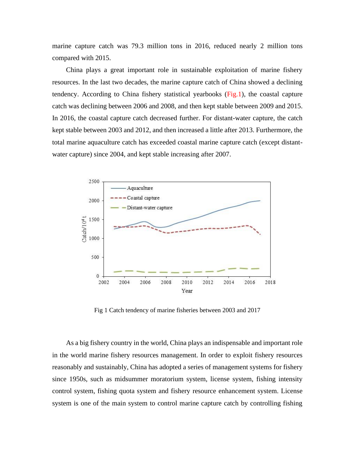marine capture catch was 79.3 million tons in 2016, reduced nearly 2 million tons compared with 2015.

China plays a great important role in sustainable exploitation of marine fishery resources. In the last two decades, the marine capture catch of China showed a declining tendency. According to China fishery statistical yearbooks (Fig.1), the coastal capture catch was declining between 2006 and 2008, and then kept stable between 2009 and 2015. In 2016, the coastal capture catch decreased further. For distant-water capture, the catch kept stable between 2003 and 2012, and then increased a little after 2013. Furthermore, the total marine aquaculture catch has exceeded coastal marine capture catch (except distantwater capture) since 2004, and kept stable increasing after 2007.



Fig 1 Catch tendency of marine fisheries between 2003 and 2017

As a big fishery country in the world, China plays an indispensable and important role in the world marine fishery resources management. In order to exploit fishery resources reasonably and sustainably, China has adopted a series of management systems for fishery since 1950s, such as midsummer moratorium system, license system, fishing intensity control system, fishing quota system and fishery resource enhancement system. License system is one of the main system to control marine capture catch by controlling fishing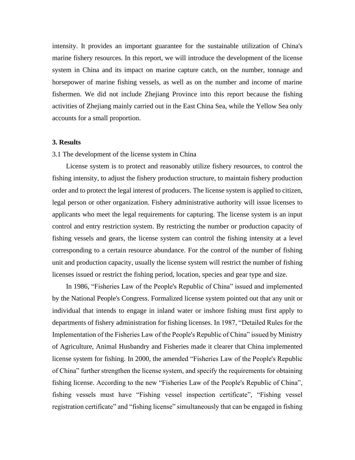intensity. It provides an important guarantee for the sustainable utilization of China's marine fishery resources. In this report, we will introduce the development of the license system in China and its impact on marine capture catch, on the number, tonnage and horsepower of marine fishing vessels, as well as on the number and income of marine fishermen. We did not include Zhejiang Province into this report because the fishing activities of Zhejiang mainly carried out in the East China Sea, while the Yellow Sea only accounts for a small proportion.

### **3. Results**

#### 3.1 The development of the license system in China

License system is to protect and reasonably utilize fishery resources, to control the fishing intensity, to adjust the fishery production structure, to maintain fishery production order and to protect the legal interest of producers. The license system is applied to citizen, legal person or other organization. Fishery administrative authority will issue licenses to applicants who meet the legal requirements for capturing. The license system is an input control and entry restriction system. By restricting the number or production capacity of fishing vessels and gears, the license system can control the fishing intensity at a level corresponding to a certain resource abundance. For the control of the number of fishing unit and production capacity, usually the license system will restrict the number of fishing licenses issued or restrict the fishing period, location, species and gear type and size.

In 1986, "Fisheries Law of the People's Republic of China" issued and implemented by the National People's Congress. Formalized license system pointed out that any unit or individual that intends to engage in inland water or inshore fishing must first apply to departments of fishery administration for fishing licenses. In 1987, "Detailed Rules for the Implementation of the Fisheries Law of the People's Republic of China" issued by Ministry of Agriculture, Animal Husbandry and Fisheries made it clearer that China implemented license system for fishing. In 2000, the amended "Fisheries Law of the People's Republic of China" further strengthen the license system, and specify the requirements for obtaining fishing license. According to the new "Fisheries Law of the People's Republic of China", fishing vessels must have "Fishing vessel inspection certificate", "Fishing vessel registration certificate" and "fishing license" simultaneously that can be engaged in fishing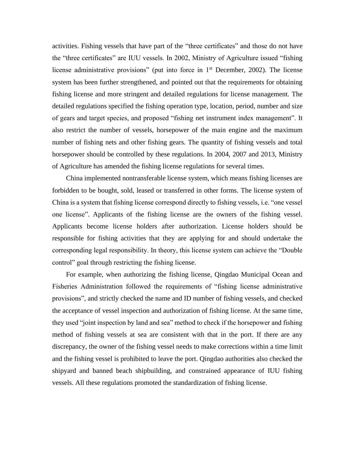activities. Fishing vessels that have part of the "three certificates" and those do not have the "three certificates" are IUU vessels. In 2002, Ministry of Agriculture issued "fishing license administrative provisions" (put into force in  $1<sup>st</sup>$  December, 2002). The license system has been further strengthened, and pointed out that the requirements for obtaining fishing license and more stringent and detailed regulations for license management. The detailed regulations specified the fishing operation type, location, period, number and size of gears and target species, and proposed "fishing net instrument index management". It also restrict the number of vessels, horsepower of the main engine and the maximum number of fishing nets and other fishing gears. The quantity of fishing vessels and total horsepower should be controlled by these regulations. In 2004, 2007 and 2013, Ministry of Agriculture has amended the fishing license regulations for several times.

China implemented nontransferable license system, which means fishing licenses are forbidden to be bought, sold, leased or transferred in other forms. The license system of China is a system that fishing license correspond directly to fishing vessels, i.e. "one vessel one license". Applicants of the fishing license are the owners of the fishing vessel. Applicants become license holders after authorization. License holders should be responsible for fishing activities that they are applying for and should undertake the corresponding legal responsibility. In theory, this license system can achieve the "Double control" goal through restricting the fishing license.

For example, when authorizing the fishing license, Qingdao Municipal Ocean and Fisheries Administration followed the requirements of "fishing license administrative provisions", and strictly checked the name and ID number of fishing vessels, and checked the acceptance of vessel inspection and authorization of fishing license. At the same time, they used "joint inspection by land and sea" method to check if the horsepower and fishing method of fishing vessels at sea are consistent with that in the port. If there are any discrepancy, the owner of the fishing vessel needs to make corrections within a time limit and the fishing vessel is prohibited to leave the port. Qingdao authorities also checked the shipyard and banned beach shipbuilding, and constrained appearance of IUU fishing vessels. All these regulations promoted the standardization of fishing license.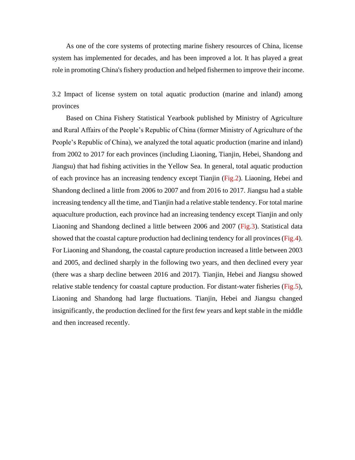As one of the core systems of protecting marine fishery resources of China, license system has implemented for decades, and has been improved a lot. It has played a great role in promoting China's fishery production and helped fishermen to improve their income.

3.2 Impact of license system on total aquatic production (marine and inland) among provinces

Based on China Fishery Statistical Yearbook published by Ministry of Agriculture and Rural Affairs of the People's Republic of China (former Ministry of Agriculture of the People's Republic of China), we analyzed the total aquatic production (marine and inland) from 2002 to 2017 for each provinces (including Liaoning, Tianjin, Hebei, Shandong and Jiangsu) that had fishing activities in the Yellow Sea. In general, total aquatic production of each province has an increasing tendency except Tianjin (Fig.2). Liaoning, Hebei and Shandong declined a little from 2006 to 2007 and from 2016 to 2017. Jiangsu had a stable increasing tendency all the time, and Tianjin had a relative stable tendency. For total marine aquaculture production, each province had an increasing tendency except Tianjin and only Liaoning and Shandong declined a little between 2006 and 2007 (Fig.3). Statistical data showed that the coastal capture production had declining tendency for all provinces (Fig.4). For Liaoning and Shandong, the coastal capture production increased a little between 2003 and 2005, and declined sharply in the following two years, and then declined every year (there was a sharp decline between 2016 and 2017). Tianjin, Hebei and Jiangsu showed relative stable tendency for coastal capture production. For distant-water fisheries (Fig.5), Liaoning and Shandong had large fluctuations. Tianjin, Hebei and Jiangsu changed insignificantly, the production declined for the first few years and kept stable in the middle and then increased recently.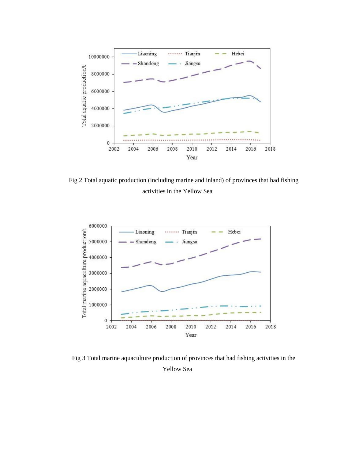

Fig 2 Total aquatic production (including marine and inland) of provinces that had fishing activities in the Yellow Sea



Fig 3 Total marine aquaculture production of provinces that had fishing activities in the Yellow Sea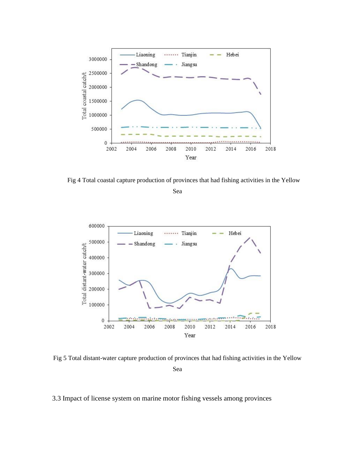

Fig 4 Total coastal capture production of provinces that had fishing activities in the Yellow

Sea



Fig 5 Total distant-water capture production of provinces that had fishing activities in the Yellow Sea

# 3.3 Impact of license system on marine motor fishing vessels among provinces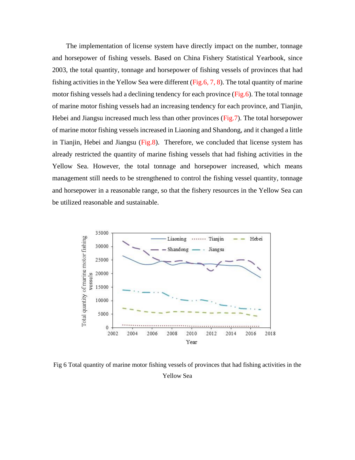The implementation of license system have directly impact on the number, tonnage and horsepower of fishing vessels. Based on China Fishery Statistical Yearbook, since 2003, the total quantity, tonnage and horsepower of fishing vessels of provinces that had fishing activities in the Yellow Sea were different (Fig.6, 7, 8). The total quantity of marine motor fishing vessels had a declining tendency for each province (Fig.6). The total tonnage of marine motor fishing vessels had an increasing tendency for each province, and Tianjin, Hebei and Jiangsu increased much less than other provinces (Fig.7). The total horsepower of marine motor fishing vessels increased in Liaoning and Shandong, and it changed a little in Tianjin, Hebei and Jiangsu (Fig.8). Therefore, we concluded that license system has already restricted the quantity of marine fishing vessels that had fishing activities in the Yellow Sea. However, the total tonnage and horsepower increased, which means management still needs to be strengthened to control the fishing vessel quantity, tonnage and horsepower in a reasonable range, so that the fishery resources in the Yellow Sea can be utilized reasonable and sustainable.



Fig 6 Total quantity of marine motor fishing vessels of provinces that had fishing activities in the Yellow Sea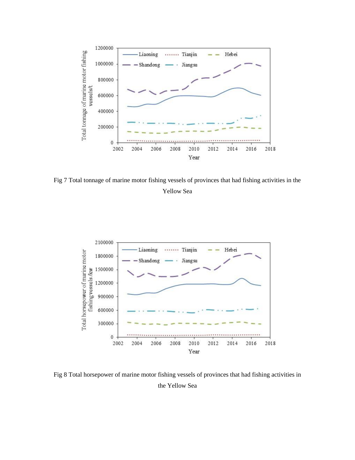

Fig 7 Total tonnage of marine motor fishing vessels of provinces that had fishing activities in the Yellow Sea



Fig 8 Total horsepower of marine motor fishing vessels of provinces that had fishing activities in the Yellow Sea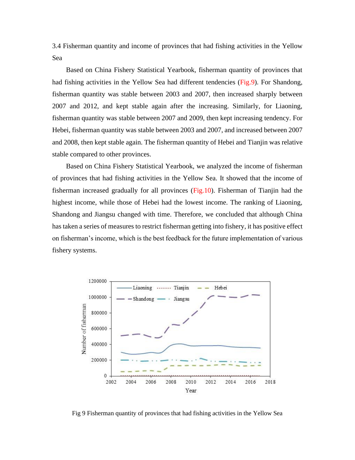3.4 Fisherman quantity and income of provinces that had fishing activities in the Yellow Sea

Based on China Fishery Statistical Yearbook, fisherman quantity of provinces that had fishing activities in the Yellow Sea had different tendencies (Fig.9). For Shandong, fisherman quantity was stable between 2003 and 2007, then increased sharply between 2007 and 2012, and kept stable again after the increasing. Similarly, for Liaoning, fisherman quantity was stable between 2007 and 2009, then kept increasing tendency. For Hebei, fisherman quantity was stable between 2003 and 2007, and increased between 2007 and 2008, then kept stable again. The fisherman quantity of Hebei and Tianjin was relative stable compared to other provinces.

Based on China Fishery Statistical Yearbook, we analyzed the income of fisherman of provinces that had fishing activities in the Yellow Sea. It showed that the income of fisherman increased gradually for all provinces (Fig.10). Fisherman of Tianjin had the highest income, while those of Hebei had the lowest income. The ranking of Liaoning, Shandong and Jiangsu changed with time. Therefore, we concluded that although China has taken a series of measures to restrict fisherman getting into fishery, it has positive effect on fisherman's income, which is the best feedback for the future implementation of various fishery systems.



Fig 9 Fisherman quantity of provinces that had fishing activities in the Yellow Sea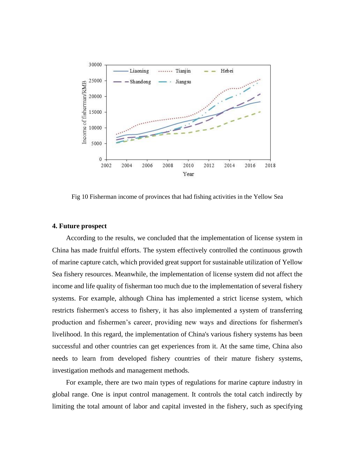

Fig 10 Fisherman income of provinces that had fishing activities in the Yellow Sea

#### **4. Future prospect**

According to the results, we concluded that the implementation of license system in China has made fruitful efforts. The system effectively controlled the continuous growth of marine capture catch, which provided great support for sustainable utilization of Yellow Sea fishery resources. Meanwhile, the implementation of license system did not affect the income and life quality of fisherman too much due to the implementation of several fishery systems. For example, although China has implemented a strict license system, which restricts fishermen's access to fishery, it has also implemented a system of transferring production and fishermen's career, providing new ways and directions for fishermen's livelihood. In this regard, the implementation of China's various fishery systems has been successful and other countries can get experiences from it. At the same time, China also needs to learn from developed fishery countries of their mature fishery systems, investigation methods and management methods.

For example, there are two main types of regulations for marine capture industry in global range. One is input control management. It controls the total catch indirectly by limiting the total amount of labor and capital invested in the fishery, such as specifying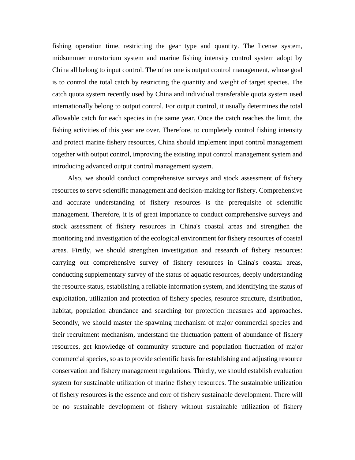fishing operation time, restricting the gear type and quantity. The license system, midsummer moratorium system and marine fishing intensity control system adopt by China all belong to input control. The other one is output control management, whose goal is to control the total catch by restricting the quantity and weight of target species. The catch quota system recently used by China and individual transferable quota system used internationally belong to output control. For output control, it usually determines the total allowable catch for each species in the same year. Once the catch reaches the limit, the fishing activities of this year are over. Therefore, to completely control fishing intensity and protect marine fishery resources, China should implement input control management together with output control, improving the existing input control management system and introducing advanced output control management system.

Also, we should conduct comprehensive surveys and stock assessment of fishery resources to serve scientific management and decision-making for fishery. Comprehensive and accurate understanding of fishery resources is the prerequisite of scientific management. Therefore, it is of great importance to conduct comprehensive surveys and stock assessment of fishery resources in China's coastal areas and strengthen the monitoring and investigation of the ecological environment for fishery resources of coastal areas. Firstly, we should strengthen investigation and research of fishery resources: carrying out comprehensive survey of fishery resources in China's coastal areas, conducting supplementary survey of the status of aquatic resources, deeply understanding the resource status, establishing a reliable information system, and identifying the status of exploitation, utilization and protection of fishery species, resource structure, distribution, habitat, population abundance and searching for protection measures and approaches. Secondly, we should master the spawning mechanism of major commercial species and their recruitment mechanism, understand the fluctuation pattern of abundance of fishery resources, get knowledge of community structure and population fluctuation of major commercial species, so as to provide scientific basis for establishing and adjusting resource conservation and fishery management regulations. Thirdly, we should establish evaluation system for sustainable utilization of marine fishery resources. The sustainable utilization of fishery resources is the essence and core of fishery sustainable development. There will be no sustainable development of fishery without sustainable utilization of fishery